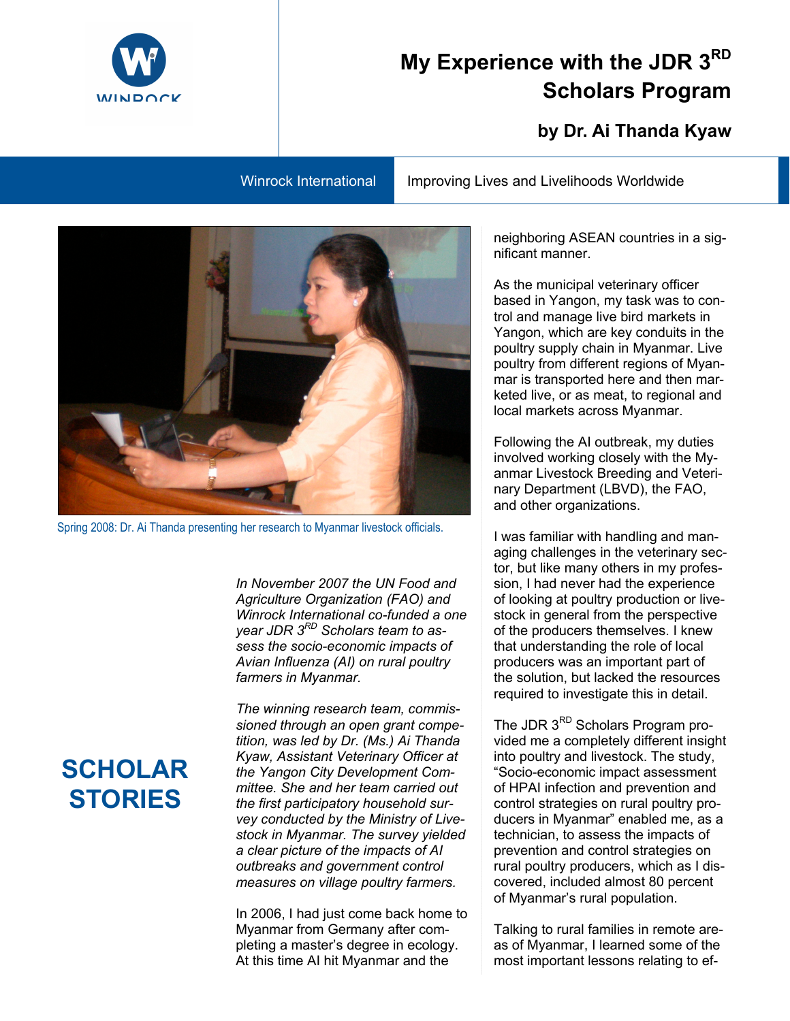## **My Experience with the JDR 3RD Scholars Program**

## **by Dr. Ai Thanda Kyaw**

Winrock International Improving Lives and Livelihoods Worldwide



Spring 2008: Dr. Ai Thanda presenting her research to Myanmar livestock officials.

*In November 2007 the UN Food and Agriculture Organization (FAO) and Winrock International co-funded a one year JDR 3RD Scholars team to assess the socio-economic impacts of Avian Influenza (AI) on rural poultry farmers in Myanmar.* 

*The winning research team, commissioned through an open grant competition, was led by Dr. (Ms.) Ai Thanda Kyaw, Assistant Veterinary Officer at the Yangon City Development Committee. She and her team carried out the first participatory household survey conducted by the Ministry of Livestock in Myanmar. The survey yielded a clear picture of the impacts of AI outbreaks and government control measures on village poultry farmers.* 

In 2006, I had just come back home to Myanmar from Germany after completing a master's degree in ecology. At this time AI hit Myanmar and the

neighboring ASEAN countries in a significant manner.

As the municipal veterinary officer based in Yangon, my task was to control and manage live bird markets in Yangon, which are key conduits in the poultry supply chain in Myanmar. Live poultry from different regions of Myanmar is transported here and then marketed live, or as meat, to regional and local markets across Myanmar.

Following the AI outbreak, my duties involved working closely with the Myanmar Livestock Breeding and Veterinary Department (LBVD), the FAO, and other organizations.

I was familiar with handling and managing challenges in the veterinary sector, but like many others in my profession, I had never had the experience of looking at poultry production or livestock in general from the perspective of the producers themselves. I knew that understanding the role of local producers was an important part of the solution, but lacked the resources required to investigate this in detail.

The JDR 3<sup>RD</sup> Scholars Program provided me a completely different insight into poultry and livestock. The study, "Socio-economic impact assessment of HPAI infection and prevention and control strategies on rural poultry producers in Myanmar" enabled me, as a technician, to assess the impacts of prevention and control strategies on rural poultry producers, which as I discovered, included almost 80 percent of Myanmar's rural population.

Talking to rural families in remote areas of Myanmar, I learned some of the most important lessons relating to ef-

## **SCHOLAR STORIES**